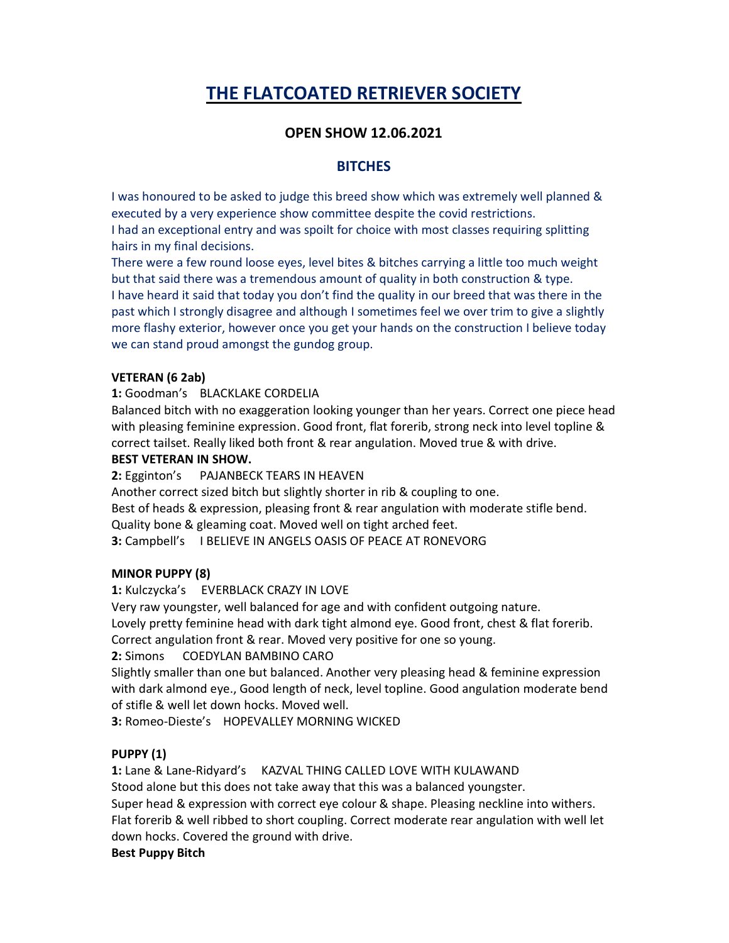# THE FLATCOATED RETRIEVER SOCIETY

# OPEN SHOW 12.06.2021

## **BITCHES**

I was honoured to be asked to judge this breed show which was extremely well planned & executed by a very experience show committee despite the covid restrictions. I had an exceptional entry and was spoilt for choice with most classes requiring splitting hairs in my final decisions.

There were a few round loose eyes, level bites & bitches carrying a little too much weight but that said there was a tremendous amount of quality in both construction & type. I have heard it said that today you don't find the quality in our breed that was there in the past which I strongly disagree and although I sometimes feel we over trim to give a slightly more flashy exterior, however once you get your hands on the construction I believe today we can stand proud amongst the gundog group.

#### VETERAN (6 2ab)

#### 1: Goodman's BLACKLAKE CORDELIA

Balanced bitch with no exaggeration looking younger than her years. Correct one piece head with pleasing feminine expression. Good front, flat forerib, strong neck into level topline & correct tailset. Really liked both front & rear angulation. Moved true & with drive.

#### BEST VETERAN IN SHOW.

2: Egginton's PAJANBECK TEARS IN HEAVEN

Another correct sized bitch but slightly shorter in rib & coupling to one. Best of heads & expression, pleasing front & rear angulation with moderate stifle bend. Quality bone & gleaming coat. Moved well on tight arched feet. 3: Campbell's I BELIEVE IN ANGELS OASIS OF PEACE AT RONEVORG

## MINOR PUPPY (8)

1: Kulczycka's EVERBLACK CRAZY IN LOVE

Very raw youngster, well balanced for age and with confident outgoing nature. Lovely pretty feminine head with dark tight almond eye. Good front, chest & flat forerib. Correct angulation front & rear. Moved very positive for one so young.

## 2: Simons COEDYLAN BAMBINO CARO

Slightly smaller than one but balanced. Another very pleasing head & feminine expression with dark almond eye., Good length of neck, level topline. Good angulation moderate bend of stifle & well let down hocks. Moved well.

3: Romeo-Dieste's HOPEVALLEY MORNING WICKED

## PUPPY (1)

1: Lane & Lane-Ridyard's KAZVAL THING CALLED LOVE WITH KULAWAND Stood alone but this does not take away that this was a balanced youngster. Super head & expression with correct eye colour & shape. Pleasing neckline into withers. Flat forerib & well ribbed to short coupling. Correct moderate rear angulation with well let down hocks. Covered the ground with drive.

#### Best Puppy Bitch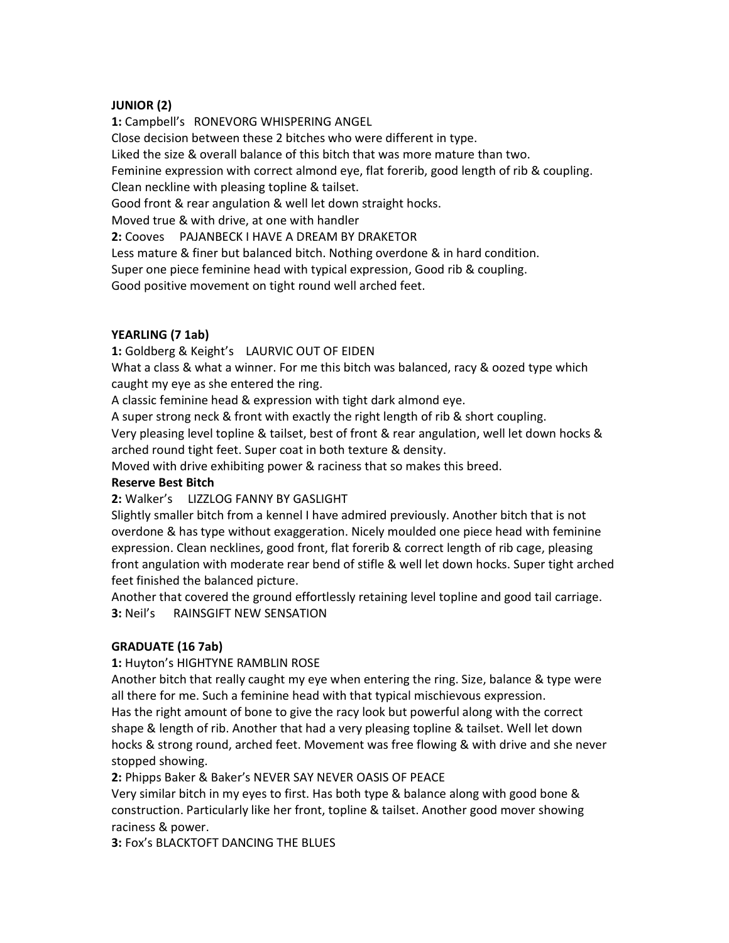#### JUNIOR (2)

1: Campbell's RONEVORG WHISPERING ANGEL Close decision between these 2 bitches who were different in type. Liked the size & overall balance of this bitch that was more mature than two. Feminine expression with correct almond eye, flat forerib, good length of rib & coupling. Clean neckline with pleasing topline & tailset. Good front & rear angulation & well let down straight hocks. Moved true & with drive, at one with handler 2: Cooves PAJANBECK I HAVE A DREAM BY DRAKETOR Less mature & finer but balanced bitch. Nothing overdone & in hard condition. Super one piece feminine head with typical expression, Good rib & coupling. Good positive movement on tight round well arched feet.

#### YEARLING (7 1ab)

1: Goldberg & Keight's LAURVIC OUT OF EIDEN

What a class & what a winner. For me this bitch was balanced, racy & oozed type which caught my eye as she entered the ring.

A classic feminine head & expression with tight dark almond eye.

A super strong neck & front with exactly the right length of rib & short coupling. Very pleasing level topline & tailset, best of front & rear angulation, well let down hocks & arched round tight feet. Super coat in both texture & density.

Moved with drive exhibiting power & raciness that so makes this breed.

#### Reserve Best Bitch

2: Walker's LIZZLOG FANNY BY GASLIGHT

Slightly smaller bitch from a kennel I have admired previously. Another bitch that is not overdone & has type without exaggeration. Nicely moulded one piece head with feminine expression. Clean necklines, good front, flat forerib & correct length of rib cage, pleasing front angulation with moderate rear bend of stifle & well let down hocks. Super tight arched feet finished the balanced picture.

Another that covered the ground effortlessly retaining level topline and good tail carriage. 3: Neil's RAINSGIFT NEW SENSATION

## GRADUATE (16 7ab)

1: Huyton's HIGHTYNE RAMBLIN ROSE

Another bitch that really caught my eye when entering the ring. Size, balance & type were all there for me. Such a feminine head with that typical mischievous expression. Has the right amount of bone to give the racy look but powerful along with the correct shape & length of rib. Another that had a very pleasing topline & tailset. Well let down hocks & strong round, arched feet. Movement was free flowing & with drive and she never stopped showing.

2: Phipps Baker & Baker's NEVER SAY NEVER OASIS OF PEACE

Very similar bitch in my eyes to first. Has both type & balance along with good bone & construction. Particularly like her front, topline & tailset. Another good mover showing raciness & power.

3: Fox's BLACKTOFT DANCING THE BLUES